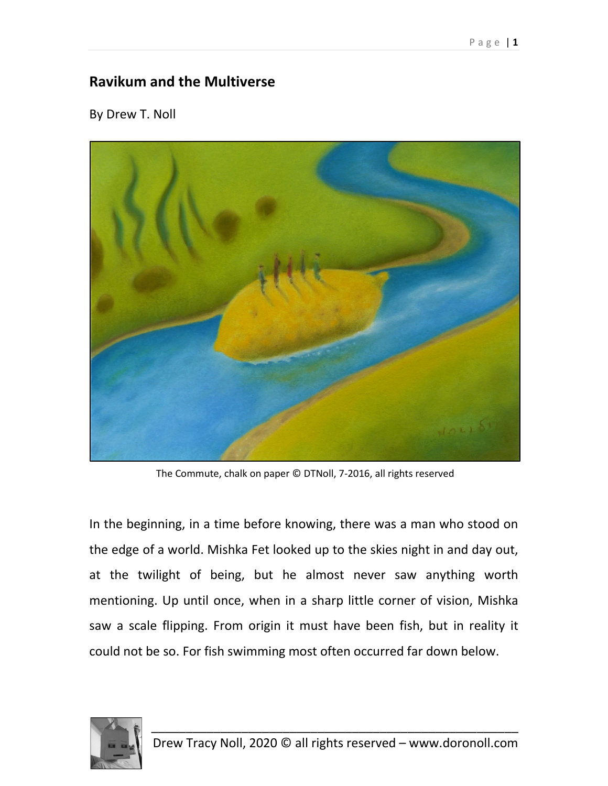## **Ravikum and the Multiverse**

By Drew T. Noll



The Commute, chalk on paper © DTNoll, 7-2016, all rights reserved

In the beginning, in a time before knowing, there was a man who stood on the edge of a world. Mishka Fet looked up to the skies night in and day out, at the twilight of being, but he almost never saw anything worth mentioning. Up until once, when in a sharp little corner of vision, Mishka saw a scale flipping. From origin it must have been fish, but in reality it could not be so. For fish swimming most often occurred far down below.

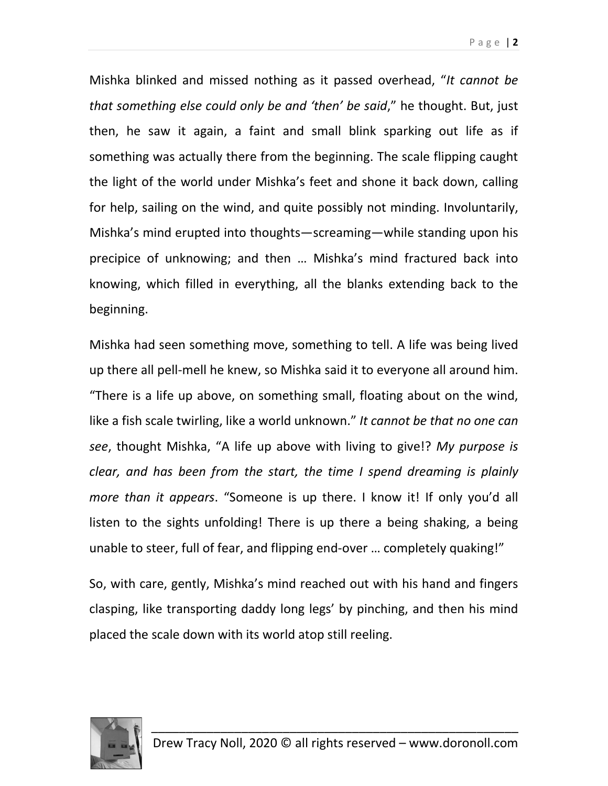Mishka blinked and missed nothing as it passed overhead, "*It cannot be that something else could only be and 'then' be said*," he thought. But, just then, he saw it again, a faint and small blink sparking out life as if something was actually there from the beginning. The scale flipping caught the light of the world under Mishka's feet and shone it back down, calling for help, sailing on the wind, and quite possibly not minding. Involuntarily, Mishka's mind erupted into thoughts—screaming—while standing upon his precipice of unknowing; and then … Mishka's mind fractured back into knowing, which filled in everything, all the blanks extending back to the

Mishka had seen something move, something to tell. A life was being lived up there all pell-mell he knew, so Mishka said it to everyone all around him. "There is a life up above, on something small, floating about on the wind, like a fish scale twirling, like a world unknown." *It cannot be that no one can see*, thought Mishka, "A life up above with living to give!? *My purpose is clear, and has been from the start, the time I spend dreaming is plainly more than it appears*. "Someone is up there. I know it! If only you'd all listen to the sights unfolding! There is up there a being shaking, a being unable to steer, full of fear, and flipping end-over … completely quaking!"

So, with care, gently, Mishka's mind reached out with his hand and fingers clasping, like transporting daddy long legs' by pinching, and then his mind placed the scale down with its world atop still reeling.



beginning.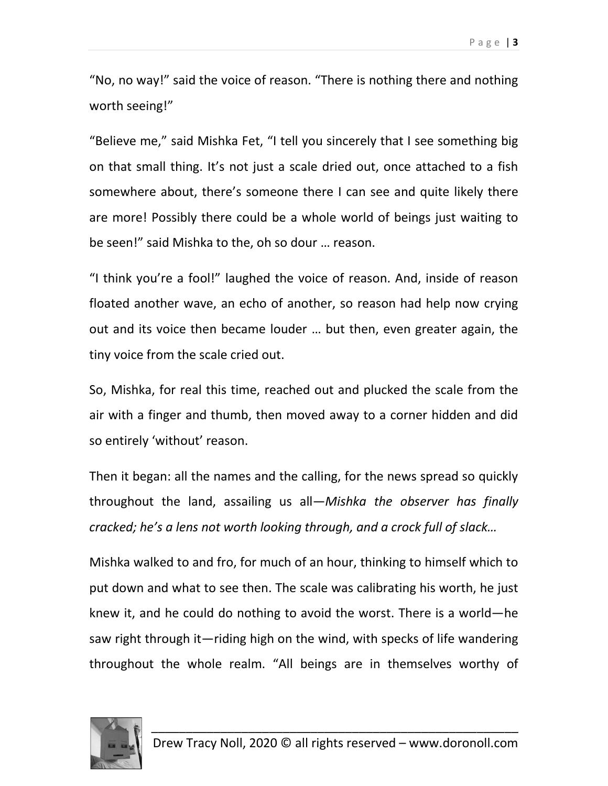"No, no way!" said the voice of reason. "There is nothing there and nothing worth seeing!"

"Believe me," said Mishka Fet, "I tell you sincerely that I see something big on that small thing. It's not just a scale dried out, once attached to a fish somewhere about, there's someone there I can see and quite likely there are more! Possibly there could be a whole world of beings just waiting to be seen!" said Mishka to the, oh so dour … reason.

"I think you're a fool!" laughed the voice of reason. And, inside of reason floated another wave, an echo of another, so reason had help now crying out and its voice then became louder … but then, even greater again, the tiny voice from the scale cried out.

So, Mishka, for real this time, reached out and plucked the scale from the air with a finger and thumb, then moved away to a corner hidden and did so entirely 'without' reason.

Then it began: all the names and the calling, for the news spread so quickly throughout the land, assailing us all—*Mishka the observer has finally cracked; he's a lens not worth looking through, and a crock full of slack…*

Mishka walked to and fro, for much of an hour, thinking to himself which to put down and what to see then. The scale was calibrating his worth, he just knew it, and he could do nothing to avoid the worst. There is a world—he saw right through it—riding high on the wind, with specks of life wandering throughout the whole realm. "All beings are in themselves worthy of

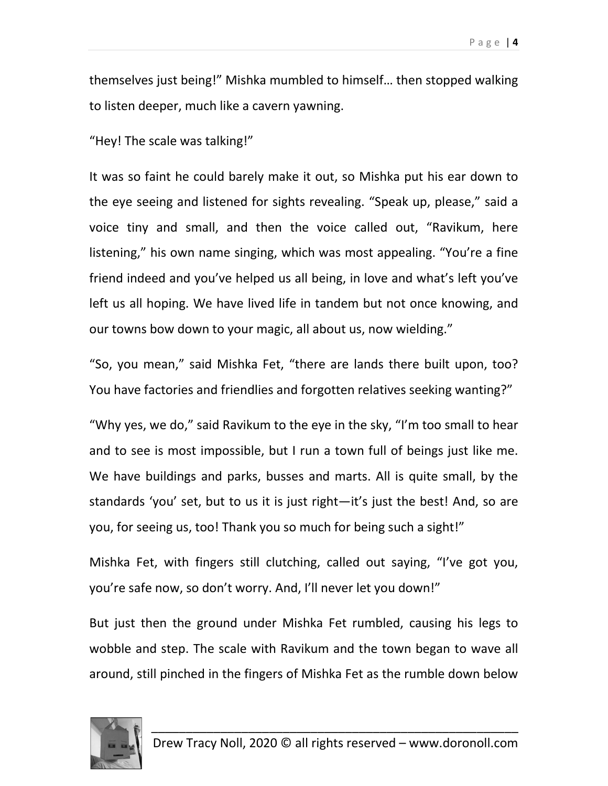themselves just being!" Mishka mumbled to himself… then stopped walking to listen deeper, much like a cavern yawning.

"Hey! The scale was talking!"

It was so faint he could barely make it out, so Mishka put his ear down to the eye seeing and listened for sights revealing. "Speak up, please," said a voice tiny and small, and then the voice called out, "Ravikum, here listening," his own name singing, which was most appealing. "You're a fine friend indeed and you've helped us all being, in love and what's left you've left us all hoping. We have lived life in tandem but not once knowing, and our towns bow down to your magic, all about us, now wielding."

"So, you mean," said Mishka Fet, "there are lands there built upon, too? You have factories and friendlies and forgotten relatives seeking wanting?"

"Why yes, we do," said Ravikum to the eye in the sky, "I'm too small to hear and to see is most impossible, but I run a town full of beings just like me. We have buildings and parks, busses and marts. All is quite small, by the standards 'you' set, but to us it is just right—it's just the best! And, so are you, for seeing us, too! Thank you so much for being such a sight!"

Mishka Fet, with fingers still clutching, called out saying, "I've got you, you're safe now, so don't worry. And, I'll never let you down!"

But just then the ground under Mishka Fet rumbled, causing his legs to wobble and step. The scale with Ravikum and the town began to wave all around, still pinched in the fingers of Mishka Fet as the rumble down below

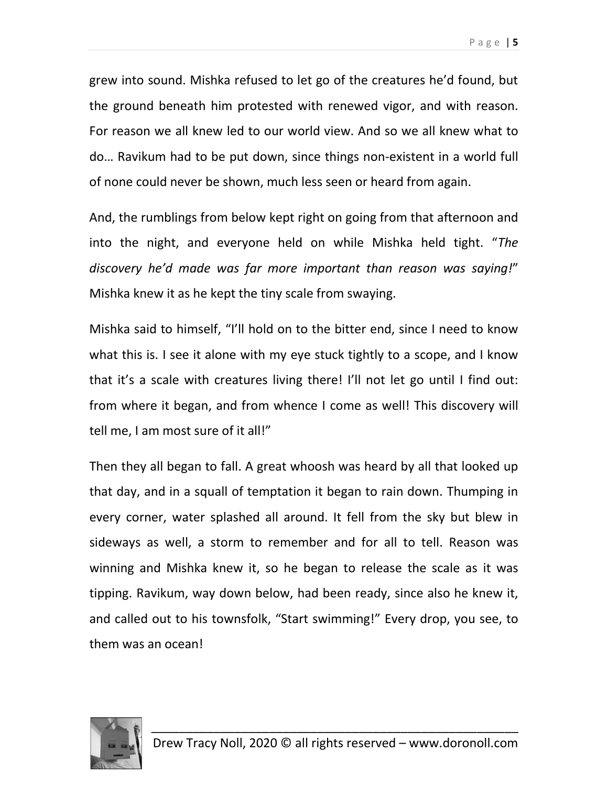grew into sound. Mishka refused to let go of the creatures he'd found, but the ground beneath him protested with renewed vigor, and with reason. For reason we all knew led to our world view. And so we all knew what to do… Ravikum had to be put down, since things non-existent in a world full of none could never be shown, much less seen or heard from again.

And, the rumblings from below kept right on going from that afternoon and into the night, and everyone held on while Mishka held tight. "*The discovery he'd made was far more important than reason was saying!*" Mishka knew it as he kept the tiny scale from swaying.

Mishka said to himself, "I'll hold on to the bitter end, since I need to know what this is. I see it alone with my eye stuck tightly to a scope, and I know that it's a scale with creatures living there! I'll not let go until I find out: from where it began, and from whence I come as well! This discovery will tell me, I am most sure of it all!"

Then they all began to fall. A great whoosh was heard by all that looked up that day, and in a squall of temptation it began to rain down. Thumping in every corner, water splashed all around. It fell from the sky but blew in sideways as well, a storm to remember and for all to tell. Reason was winning and Mishka knew it, so he began to release the scale as it was tipping. Ravikum, way down below, had been ready, since also he knew it, and called out to his townsfolk, "Start swimming!" Every drop, you see, to them was an ocean!

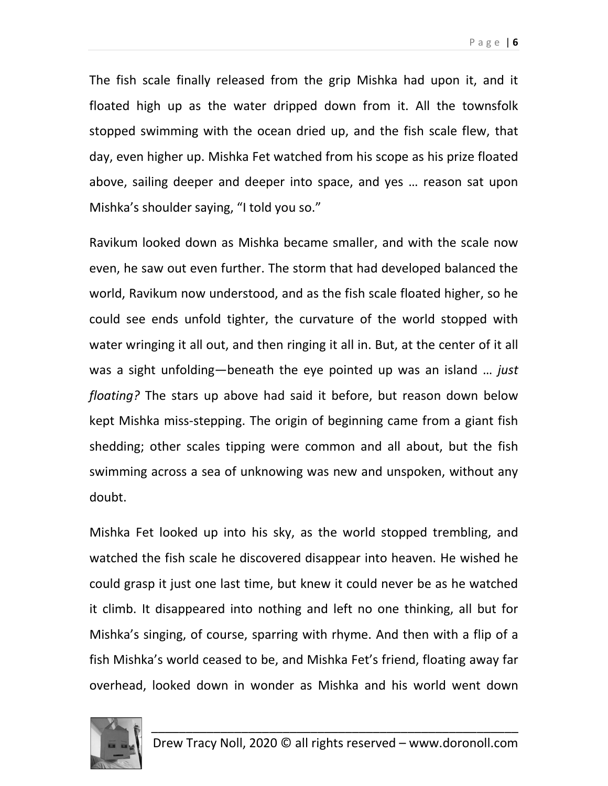The fish scale finally released from the grip Mishka had upon it, and it floated high up as the water dripped down from it. All the townsfolk stopped swimming with the ocean dried up, and the fish scale flew, that day, even higher up. Mishka Fet watched from his scope as his prize floated above, sailing deeper and deeper into space, and yes … reason sat upon Mishka's shoulder saying, "I told you so."

Ravikum looked down as Mishka became smaller, and with the scale now even, he saw out even further. The storm that had developed balanced the world, Ravikum now understood, and as the fish scale floated higher, so he could see ends unfold tighter, the curvature of the world stopped with water wringing it all out, and then ringing it all in. But, at the center of it all was a sight unfolding—beneath the eye pointed up was an island … *just floating?* The stars up above had said it before, but reason down below kept Mishka miss-stepping. The origin of beginning came from a giant fish shedding; other scales tipping were common and all about, but the fish swimming across a sea of unknowing was new and unspoken, without any doubt.

Mishka Fet looked up into his sky, as the world stopped trembling, and watched the fish scale he discovered disappear into heaven. He wished he could grasp it just one last time, but knew it could never be as he watched it climb. It disappeared into nothing and left no one thinking, all but for Mishka's singing, of course, sparring with rhyme. And then with a flip of a fish Mishka's world ceased to be, and Mishka Fet's friend, floating away far overhead, looked down in wonder as Mishka and his world went down